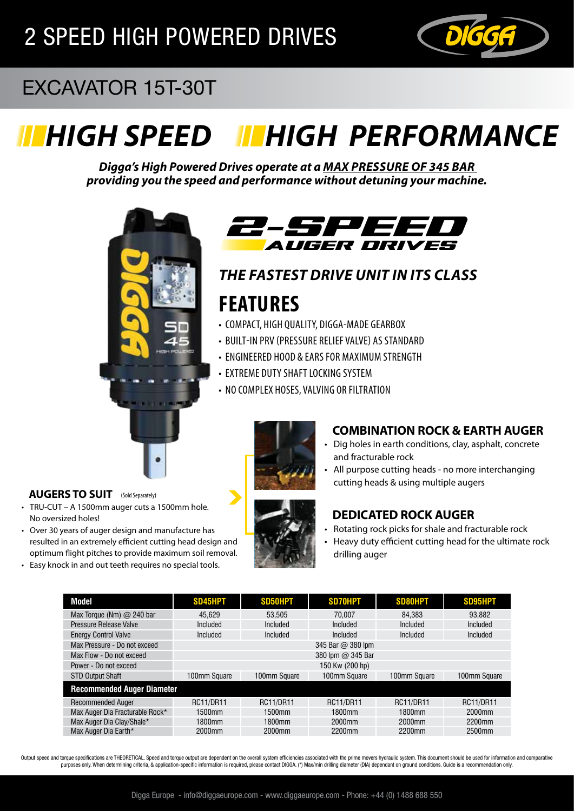

## EXCAVATOR 15T-30T

# *HIGH SPEED HIGH PERFORMANCE*

*Digga's High Powered Drives operate at a MAX PRESSURE OF 345 BAR providing you the speed and performance without detuning your machine.* 





### *THE FASTEST DRIVE UNIT IN ITS CLASS*

## **FEATURES**

- COMPACT, HIGH QUALITY, DIGGA-MADE GEARBOX
- BUILT-IN PRV (PRESSURE RELIEF VALVE) AS STANDARD
- ENGINEERED HOOD & EARS FOR MAXIMUM STRENGTH
- EXTREME DUTY SHAFT LOCKING SYSTEM
- NO COMPLEX HOSES, VALVING OR FILTRATION



#### **COMBINATION ROCK & EARTH AUGER**

- Dig holes in earth conditions, clay, asphalt, concrete and fracturable rock
- All purpose cutting heads no more interchanging cutting heads & using multiple augers



#### **DEDICATED ROCK AUGER**

- Rotating rock picks for shale and fracturable rock
- Heavy duty efficient cutting head for the ultimate rock drilling auger

| Model                             | SD45HPT            | <b>SD50HPT</b>       | <b>SD70HPT</b>               | <b>SD80HPT</b>   | SD95HPT            |  |  |  |
|-----------------------------------|--------------------|----------------------|------------------------------|------------------|--------------------|--|--|--|
| Max Torque (Nm) $\omega$ 240 bar  | 45.629             | 53,505               | 70.007<br>84.383             |                  | 93.882             |  |  |  |
| Pressure Release Valve            | Included           | Included<br>Included |                              | Included         | Included           |  |  |  |
| <b>Energy Control Valve</b>       | Included           | Included             | Included                     | Included         | Included           |  |  |  |
| Max Pressure - Do not exceed      | 345 Bar @ 380 lpm  |                      |                              |                  |                    |  |  |  |
| Max Flow - Do not exceed          | 380 lpm @ 345 Bar  |                      |                              |                  |                    |  |  |  |
| Power - Do not exceed             | 150 Kw (200 hp)    |                      |                              |                  |                    |  |  |  |
| <b>STD Output Shaft</b>           | 100mm Square       | 100mm Square         | 100mm Square<br>100mm Square |                  | 100mm Square       |  |  |  |
| <b>Recommended Auger Diameter</b> |                    |                      |                              |                  |                    |  |  |  |
| <b>Recommended Auger</b>          | <b>RC11/DR11</b>   | <b>RC11/DR11</b>     | <b>RC11/DR11</b>             | <b>RC11/DR11</b> | <b>RC11/DR11</b>   |  |  |  |
| Max Auger Dia Fracturable Rock*   | 1500mm             | 1500mm               | 1800mm                       | 1800mm           | 2000 <sub>mm</sub> |  |  |  |
| Max Auger Dia Clay/Shale*         | 1800mm             | 1800mm               | $2000$ mm                    | 2000mm           | 2200mm             |  |  |  |
| Max Auger Dia Earth*              | 2000 <sub>mm</sub> | 2000 <sub>mm</sub>   | 2200mm                       | 2200mm           | 2500mm             |  |  |  |

Output speed and torque specifications are THEORETICAL. Speed and torque output are dependent on the overall system efficiencies associated with the prime movers hydraulic system. This document should be used for informati purposes only. When determining criteria, & application-specific information is required, please contact DIGGA. (\*) Max/min drilling diameter (DIA) dependant on ground conditions. Guide is a recommendation specific informa

#### AUGERS TO SUIT (Sold Separately) • TRU-CUT – A 1500mm auger cuts a 1500mm hole.

- No oversized holes!
- Over 30 years of auger design and manufacture has resulted in an extremely efficient cutting head design and optimum flight pitches to provide maximum soil removal.
- Easy knock in and out teeth requires no special tools.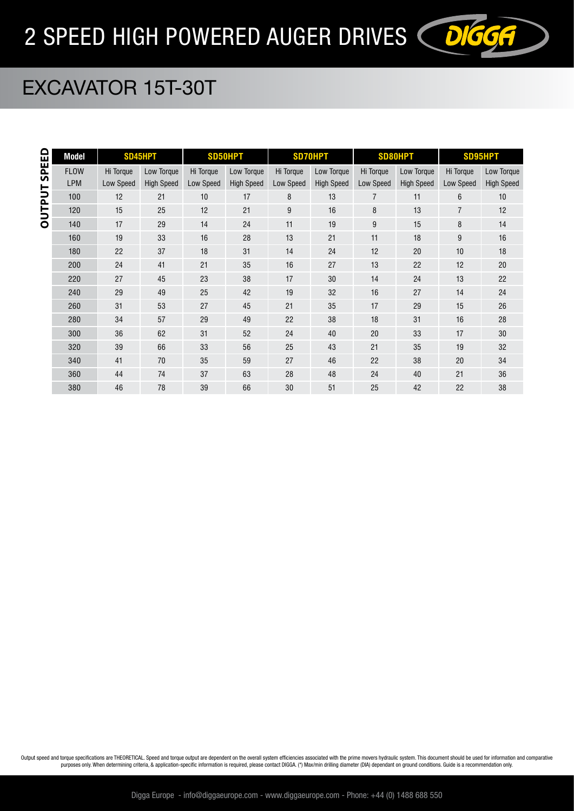

## EXCAVATOR 15T-30T

| Q<br>岊  | <b>Model</b> | SD45HPT   |                   | <b>SD50HPT</b> |                   | <b>SD70HPT</b> |                   | SD80HPT   |                   | SD95HPT        |                   |
|---------|--------------|-----------|-------------------|----------------|-------------------|----------------|-------------------|-----------|-------------------|----------------|-------------------|
| င္ဟ     | <b>FLOW</b>  | Hi Torque | Low Torque        | Hi Torque      | Low Torque        | Hi Torque      | Low Torque        | Hi Torque | Low Torque        | Hi Torque      | Low Torque        |
|         | <b>LPM</b>   | Low Speed | <b>High Speed</b> | Low Speed      | <b>High Speed</b> | Low Speed      | <b>High Speed</b> | Low Speed | <b>High Speed</b> | Low Speed      | <b>High Speed</b> |
| ⊃<br>௨  | 100          | 12        | 21                | 10             | 17                | 8              | 13                | 7         | 11                | 6              | 10                |
| 5       | 120          | 15        | 25                | 12             | 21                | 9              | 16                | 8         | 13                | $\overline{7}$ | 12                |
| $\circ$ | 140          | 17        | 29                | 14             | 24                | 11             | 19                | 9         | 15                | 8              | 14                |
|         | 160          | 19        | 33                | 16             | 28                | 13             | 21                | 11        | 18                | 9              | 16                |
|         | 180          | 22        | 37                | 18             | 31                | 14             | 24                | 12        | 20                | 10             | 18                |
|         | 200          | 24        | 41                | 21             | 35                | 16             | 27                | 13        | 22                | 12             | 20                |
|         | 220          | 27        | 45                | 23             | 38                | 17             | 30                | 14        | 24                | 13             | 22                |
|         | 240          | 29        | 49                | 25             | 42                | 19             | 32                | 16        | 27                | 14             | 24                |
|         | 260          | 31        | 53                | 27             | 45                | 21             | 35                | 17        | 29                | 15             | 26                |
|         | 280          | 34        | 57                | 29             | 49                | 22             | 38                | 18        | 31                | 16             | 28                |
|         | 300          | 36        | 62                | 31             | 52                | 24             | 40                | 20        | 33                | 17             | 30                |
|         | 320          | 39        | 66                | 33             | 56                | 25             | 43                | 21        | 35                | 19             | 32                |
|         | 340          | 41        | 70                | 35             | 59                | 27             | 46                | 22        | 38                | 20             | 34                |
|         | 360          | 44        | 74                | 37             | 63                | 28             | 48                | 24        | 40                | 21             | 36                |
|         | 380          | 46        | 78                | 39             | 66                | 30             | 51                | 25        | 42                | 22             | 38                |

Output speed and torque specifications are THEORETICAL. Speed and torque output are dependent on the overall system efficiencies associated with the prime movers hydraulic system. This document should be used for informati